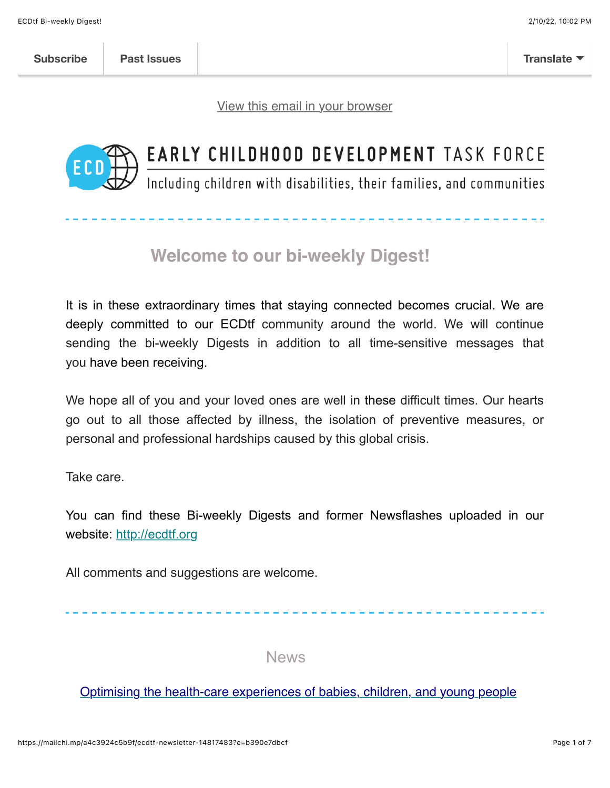[View this email in your browser](https://mailchi.mp/a4c3924c5b9f/ecdtf-newsletter-14817483?e=b390e7dbcf)



# EARLY CHILDHOOD DEVELOPMENT TASK FORCE

Including children with disabilities, their families, and communities

## **Welcome to our bi-weekly Digest!**

It is in these extraordinary times that staying connected becomes crucial. We are deeply committed to our ECDtf community around the world. We will continue sending the bi-weekly Digests in addition to all time-sensitive messages that you have been receiving.

We hope all of you and your loved ones are well in these difficult times. Our hearts go out to all those affected by illness, the isolation of preventive measures, or personal and professional hardships caused by this global crisis.

Take care.

You can find these Bi-weekly Digests and former Newsflashes uploaded in our website: [http://ecdtf.org](http://ecdtf.org/)

All comments and suggestions are welcome.

News

#### [Optimising the health-care experiences of babies, children, and young people](https://www.thelancet.com/journals/lancet/article/PIIS0140-6736(21)02124-3/fulltext?dgcid=raven_jbs_etoc_email)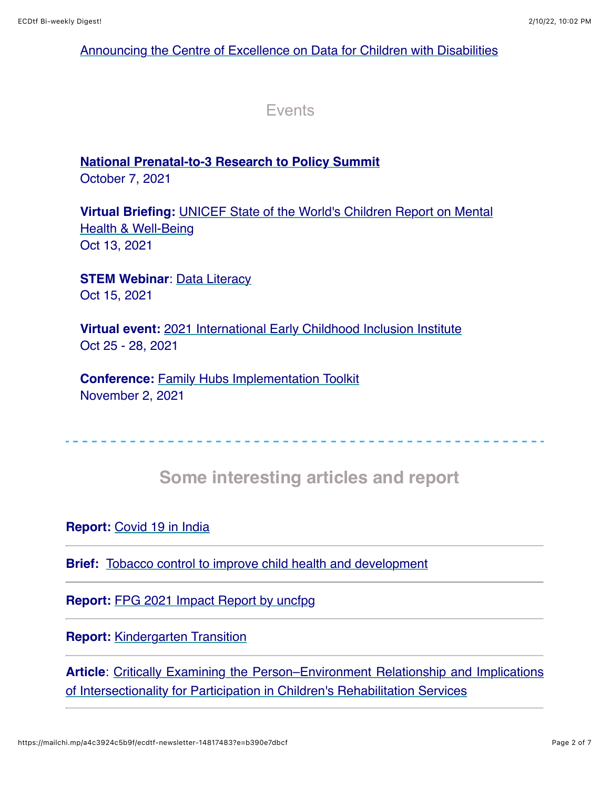#### [Announcing the Centre of Excellence on Data for Children with Disabilities](https://data.unicef.org/resources/centre-of-excellence-on-data-for-children-with-disabilities/)

**Events** 

## **[National Prenatal-to-3 Research to Policy Summit](https://info.childandfamilyresearch.org/2021-national-prenatal-to-3-research-policy-summit?utm_campaign=2021%20National%20Prenatal-to-3%20Research%20to%20Policy%20Summit&utm_medium=email&_hsmi=165433876&_hsenc=p2ANqtz-_65PlZ_Z6hsq_uyUZhIOzIlJcMRgGih7baXNgkuB5Q9V_a1myo0Kyjc9PeF2aeVVsUvLPhyodU5lSVTMqS0wJCKGdWcg&utm_content=165433876&utm_source=hs_email)**

October 7, 2021

**Virtual Briefing:** [UNICEF State of the World's Children Report on Mental](https://unicefusa.zoom.us/webinar/register/WN_-oPm4ccrT-Gec1aSu2lhUw) Health & Well-Being Oct 13, 2021

**STEM Webinar: [Data Literacy](https://www.eventbrite.com/e/stem-webinar-data-literacy-registration-153988019311?utm_content=&utm_medium=email&utm_name=&utm_source=govdelivery&utm_term=)** Oct 15, 2021

**Virtual event:** [2021 International Early Childhood Inclusion Institute](https://inclusioninstitute.fpg.unc.edu/) Oct 25 - 28, 2021

**Conference:** [Family Hubs Implementation Toolkit](https://www.annafreud.org/training/training-and-conferences-overview/online-conferences-webinars-and-events/implementing-family-hubs/) November 2, 2021

## **Some interesting articles and report**

#### **Report:** [Covid 19 in India](https://mcusercontent.com/fdbb07179dc5a2d4ccfab37d9/files/e9d8cdfe-2e21-dc4e-cdde-fa0fb1d90922/Covid_19inINDIAFinal.pdf)

**Brief:** [Tobacco control to improve child health and development](https://mcusercontent.com/fdbb07179dc5a2d4ccfab37d9/files/70ad5cf9-375b-8b4b-1f4d-5f33703d432a/9789240022218_eng.pdf)

**Report:** [FPG 2021 Impact Report by uncfpg](https://issuu.com/uncfpg/docs/fpg_2021_impact_report)

**Report:** [Kindergarten Transition](https://eclkc.ohs.acf.hhs.gov/sites/default/files/pdf/transition-brief.pdf?utm_content=&utm_medium=email&utm_name=&utm_source=govdelivery&utm_term=)

**Article**[: Critically Examining the Person–Environment Relationship and Implications](https://www.frontiersin.org/articles/10.3389/fresc.2021.709977/full) of Intersectionality for Participation in Children's Rehabilitation Services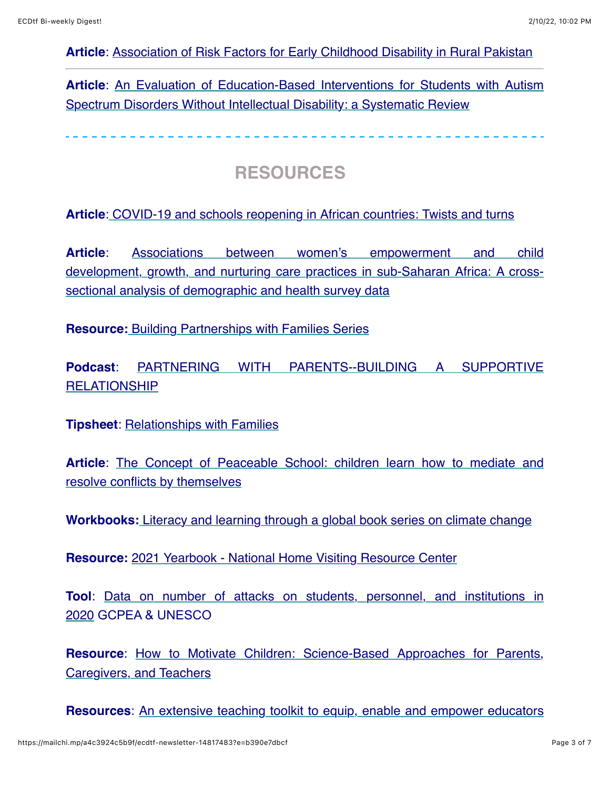#### **Article**: [Association of Risk Factors for Early Childhood Disability in Rural Pakistan](https://journals.sagepub.com/doi/abs/10.1177/10105395211048318)

**Article**[: An Evaluation of Education-Based Interventions for Students with Autism](https://link.springer.com/article/10.1007/s40489-021-00289-0) Spectrum Disorders Without Intellectual Disability: a Systematic Review

### **RESOURCES**

**Article**[: COVID-19 and schools reopening in African countries: Twists and turns](https://www.globalpartnership.org/blog/covid-19-and-schools-reopening-african-countries-twists-and-turns)

**Article**: Associations between women's empowerment and child [development, growth, and nurturing care practices in sub-Saharan Africa: A cross](https://mcusercontent.com/fdbb07179dc5a2d4ccfab37d9/files/1f5812d9-1c50-551b-2f61-a565435e7da7/Associations_between_womens_empowerment_and_child.pdf)sectional analysis of demographic and health survey data

**Resource:** [Building Partnerships with Families Series](https://eclkc.ohs.acf.hhs.gov/family-engagement/article/building-partnerships-families-series)

**Podcast**[: PARTNERING WITH PARENTS--BUILDING A SUPPORTIVE](https://www.inclusivechildcare.org/podcast-inclusion-matters/partnering-parents-building-supportive-relationship) **RELATIONSHIP** 

**Tipsheet: [Relationships with Families](https://www.inclusivechildcare.org/resource-library/tipsheet/relationships-families)** 

**Article**[: The Concept of Peaceable School: children learn how to mediate and](https://childhub.org/en/child-protection-news/concept-peaceable-school-children-learn-how-mediate-and-resolve-conflicts-themselves) resolve conflicts by themselves

**Workbooks:** [Literacy and learning through a global book series on climate change](https://www.globalpartnership.org/blog/literacy-and-learning-through-global-book-series-climate-change)

**Resource:** [2021 Yearbook - National Home Visiting Resource Center](https://nhvrc.org/yearbook/2021-yearbook/)

**Tool**[: Data on number of attacks on students, personnel, and institutions in](http://data.uis.unesco.org/index.aspx?queryid=3792) 2020 GCPEA & UNESCO

**Resource**[: How to Motivate Children: Science-Based Approaches for Parents,](https://developingchild.harvard.edu/resources/how-to-motivate-children-science-based-approaches-for-parents-caregivers-and-teachers/?fbclid=IwAR2yy4bppDJo2Mwub1VpyxLuks54SyWAifjcS6lrJi-kWzX_esGZ0TmX7Ms) Caregivers, and Teachers

**Resources**[: An extensive teaching toolkit to equip, enable and empower educators](https://www.childnet.com/resources/star-send-toolkit)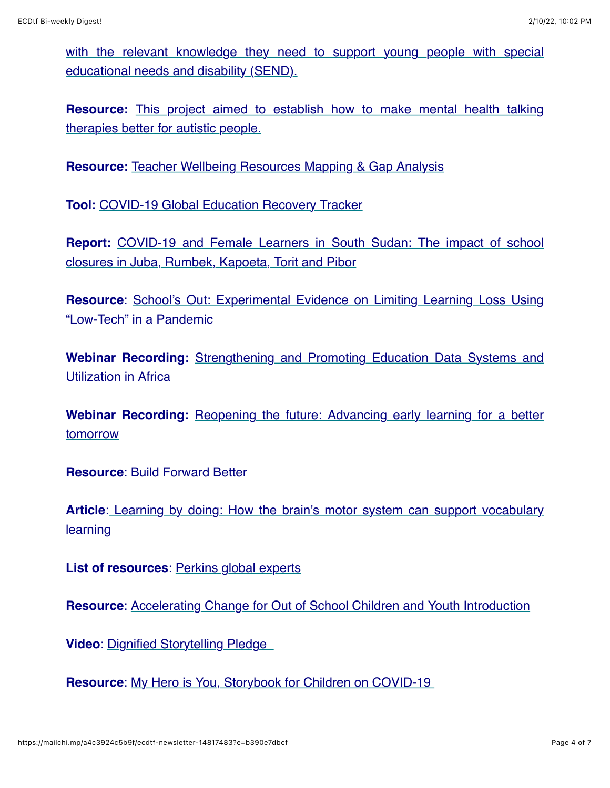[with the relevant knowledge they need to support young people with special](https://www.childnet.com/resources/star-send-toolkit) educational needs and disability (SEND).

**Resource:** [This project aimed to establish how to make mental health talking](https://s2.chorus-mk.thirdlight.com/file/24/asDKIN9as.klK7easFDsalAzTC/NAS-Good-Practice-Guide-A4.pdf?fbclid=IwAR3_V35Z0emBSX0bQM9R_cYv6fB_i78C26CLLwxRAHUtGG1ZNCogkxIE5aM) therapies better for autistic people.

**Resource:** [Teacher Wellbeing Resources Mapping & Gap Analysis](https://inee.org/resources/teacher-wellbeing-resources-mapping-gap-analysis)

**Tool:** [COVID-19 Global Education Recovery Tracker](https://www.covideducationrecovery.global/)

**Report:** [COVID-19 and Female Learners in South Sudan: The impact of school](https://inee.org/resources/covid-19-and-female-learners-south-sudan-impact-school-closures-juba-rumbek-kapoeta-torit) closures in Juba, Rumbek, Kapoeta, Torit and Pibor

**Resource**[: School's Out: Experimental Evidence on Limiting Learning Loss Using](https://www.nber.org/papers/w28205) "Low-Tech" in a Pandemic

**Webinar Recording:** [Strengthening and Promoting Education Data Systems and](https://www.unicef-irc.org/events/strengthening-and-promoting-education-data-systems-and-utilization-in-africa-lessons-from-the-data-must-speak-global-initiative.html) Utilization in Africa

**Webinar Recording:** [Reopening the future: Advancing early learning for a better](https://www.globalpartnership.org/blog/reopening-future-advancing-early-learning-better-tomorrow) tomorrow

**Resource**: [Build Forward Better](https://www.savethechildren.net/build-forward-better)

**Article**[: Learning by doing: How the brain's motor system can support vocabulary](https://www.sciencedaily.com/releases/2021/09/210909123911.htm) learning

**List of resources**: [Perkins global experts](https://www.perkinsglobalcommunity.org/essential-resources-on-early-learning-for-children-with-visual-impairment-and-multiple-disabilities/)

**Resource**: [Accelerating Change for Out of School Children and Youth Introduction](https://drive.google.com/file/d/1KbXLVogHGJMWvCTm_IJclR_D7wqfnajm/view)

**Video**: Dignified Storytelling Pledge

**Resource**: [My Hero is You, Storybook for Children on COVID-19](https://interagencystandingcommittee.org/iasc-reference-group-mental-health-and-psychosocial-support-emergency-settings/my-hero-you-storybook-children-covid-19)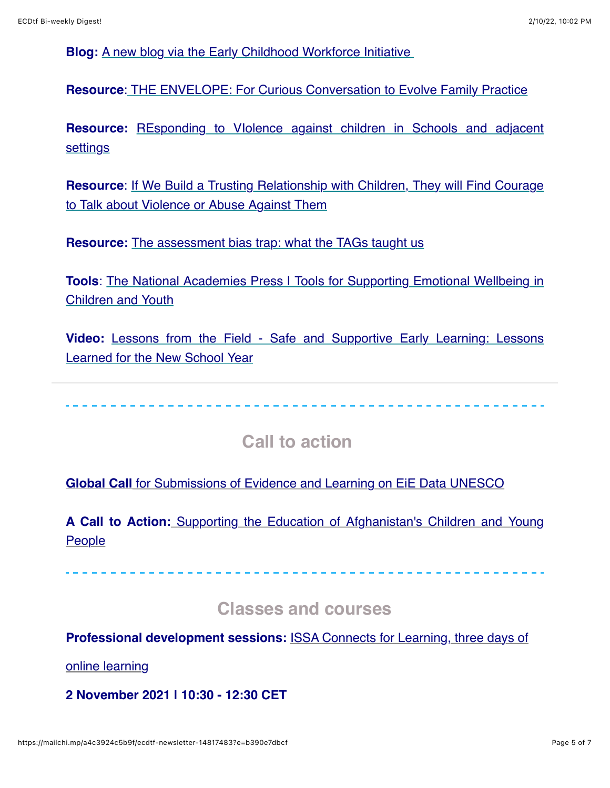**Blog:** [A new blog via the Early Childhood Workforce Initiative](https://www.earlychildhoodworkforce.org/content/early-childhood-education-crisis-voices-ece-personnel-asia-pacific-and-sub-saharan-africa?ct=t(EMAIL_CAMPAIGN_Sep_ExternalNL_2021))

**Resource**: [THE ENVELOPE: For Curious Conversation to Evolve Family Practice](https://theenvelope.commons.gc.cuny.edu/)

**Resource:** [REsponding to VIolence against children in Schools and adjacent](https://childhub.org/en/child-protection-news/how-do-we-prevent-combat-and-respond-violence-schools-revis-has-solutions) settings

**Resource[: If We Build a Trusting Relationship with Children, They will Find Courage](https://childhub.org/en/child-protection-news/if-we-build-trusting-relationship-children-they-will-find-courage-talk-about-violence-or-abuse-against-them)** to Talk about Violence or Abuse Against Them

**Resource:** [The assessment bias trap: what the TAGs taught us](https://www.tes.com/news/assessment-bias-trap-what-tags-taught-us)

**Tools:** The National Academies Press | Tools for Supporting Emotional Wellbeing in Children and Youth

**Video:** [Lessons from the Field - Safe and Supportive Early Learning: Lessons](https://vimeo.com/601912495/b0b67c70a3?utm_content=&utm_medium=email&utm_name=&utm_source=govdelivery&utm_term=) Learned for the New School Year

 **Call to action** 

**Global Call** [for Submissions of Evidence and Learning on EiE Data UNESCO](https://en.unesco.org/themes/education-emergencies/information-systems/repository)

**A Call to Action:** [Supporting the Education of Afghanistan's Children and Young](https://inee.org/blog/call-action-supporting-education-afghanistans-children-and-young-people) **People** 

 **Classes and courses** 

**Professional development sessions:** [ISSA Connects for Learning, three days of](https://events.zoom.us/e/organizations/hOtq__7PS6SKfKKy1XCtGA?ct=t%28EMAIL_CAMPAIGN_ISSA+Connects+for+Learning-1%29)

online learning

**2 November 2021 | 10:30 - 12:30 CET**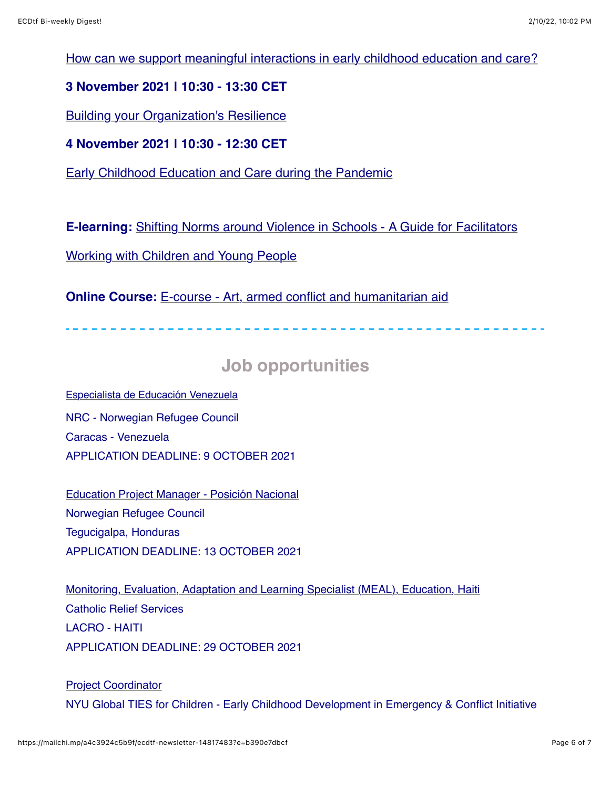[How can we support meaningful interactions in early childhood education and care?](https://na01.safelinks.protection.outlook.com/?url=https%3A%2F%2Fissa.us8.list-manage.com%2Ftrack%2Fclick%3Fu%3Dc3a876615a3cb6bca4a3d1386%26id%3Da18aa7b922%26e%3Da089730162&data=04%7C01%7C%7Cb768aa50c9ea4697a59408d97e89dc5c%7C84df9e7fe9f640afb435aaaaaaaaaaaa%7C1%7C0%7C637679952844858889%7CUnknown%7CTWFpbGZsb3d8eyJWIjoiMC4wLjAwMDAiLCJQIjoiV2luMzIiLCJBTiI6Ik1haWwiLCJXVCI6Mn0%3D%7C1000&sdata=5FJcuM1opLSQUY9lKeuL5L9LyK%2FAhlcClZPMkci%2BD%2Fc%3D&reserved=0)

#### **3 November 2021 | 10:30 - 13:30 CET**

**[Building your Organization's Resilience](https://na01.safelinks.protection.outlook.com/?url=https%3A%2F%2Fissa.us8.list-manage.com%2Ftrack%2Fclick%3Fu%3Dc3a876615a3cb6bca4a3d1386%26id%3Dcde72ab44b%26e%3Da089730162&data=04%7C01%7C%7Cb768aa50c9ea4697a59408d97e89dc5c%7C84df9e7fe9f640afb435aaaaaaaaaaaa%7C1%7C0%7C637679952844868883%7CUnknown%7CTWFpbGZsb3d8eyJWIjoiMC4wLjAwMDAiLCJQIjoiV2luMzIiLCJBTiI6Ik1haWwiLCJXVCI6Mn0%3D%7C1000&sdata=zqns0Rn9mz4lkA%2Bnm0A8SEEyOqqMi74s3nbzQ36uy50%3D&reserved=0)** 

**4 November 2021 | 10:30 - 12:30 CET**

[Early Childhood Education and Care during the Pandemic](https://na01.safelinks.protection.outlook.com/?url=https%3A%2F%2Fissa.us8.list-manage.com%2Ftrack%2Fclick%3Fu%3Dc3a876615a3cb6bca4a3d1386%26id%3D3fa71a0093%26e%3Da089730162&data=04%7C01%7C%7Cb768aa50c9ea4697a59408d97e89dc5c%7C84df9e7fe9f640afb435aaaaaaaaaaaa%7C1%7C0%7C637679952844868883%7CUnknown%7CTWFpbGZsb3d8eyJWIjoiMC4wLjAwMDAiLCJQIjoiV2luMzIiLCJBTiI6Ik1haWwiLCJXVCI6Mn0%3D%7C1000&sdata=OYU11aNLlkve3UHbNjjg3mQO%2FmctRDO2O9VrFo8ErtU%3D&reserved=0)

**E-learning:** [Shifting Norms around Violence in Schools - A Guide for Facilitators](https://childhub.org/en/online-learning-materials/e-learning-shifting-norms-around-violence-schools-guide-facilitators-working-children-and-young-people)

Working with Children and Young People

**Online Course:** [E-course - Art, armed conflict and humanitarian aid](https://www.nau.edu.pt/en/course/arts-armed-conflict-and-humanitarian-aid/)

## **Job opportunities**

[Especialista de Educación Venezuela](https://na01.safelinks.protection.outlook.com/?url=https%3A%2F%2Finee.us5.list-manage.com%2Ftrack%2Fclick%3Fu%3Dfef0506b371181f31cc3ba467%26id%3D211614be57%26e%3De2d7536134&data=04%7C01%7C%7Cf8c8ece83efc4d0fe23408d97f318b2d%7C84df9e7fe9f640afb435aaaaaaaaaaaa%7C1%7C0%7C637680673035265623%7CUnknown%7CTWFpbGZsb3d8eyJWIjoiMC4wLjAwMDAiLCJQIjoiV2luMzIiLCJBTiI6Ik1haWwiLCJXVCI6Mn0%3D%7C1000&sdata=barUaOkzESoO7YAMrEHX%2FIVGGQsy5nT8BvpvZxVghLA%3D&reserved=0) NRC - Norwegian Refugee Council Caracas - Venezuela APPLICATION DEADLINE: 9 OCTOBER 2021

[Education Project Manager - Posición Nacional](https://inee.org/es/jobs/education-project-manager-posicion-nacional) Norwegian Refugee Council Tegucigalpa, Honduras APPLICATION DEADLINE: 13 OCTOBER 2021

[Monitoring, Evaluation, Adaptation and Learning Specialist \(MEAL\), Education, Haiti](https://na01.safelinks.protection.outlook.com/?url=https%3A%2F%2Finee.us5.list-manage.com%2Ftrack%2Fclick%3Fu%3Dfef0506b371181f31cc3ba467%26id%3D49531b989e%26e%3De2d7536134&data=04%7C01%7C%7Cf8c8ece83efc4d0fe23408d97f318b2d%7C84df9e7fe9f640afb435aaaaaaaaaaaa%7C1%7C0%7C637680673035275615%7CUnknown%7CTWFpbGZsb3d8eyJWIjoiMC4wLjAwMDAiLCJQIjoiV2luMzIiLCJBTiI6Ik1haWwiLCJXVCI6Mn0%3D%7C1000&sdata=a02XifAUwtV3HLfPd1xAQHFzykcX%2BXl4JoeJWz3xYNI%3D&reserved=0https://inee.org/jobs/monitoring-evaluation-adaptation-and-learning-specialist-meal-education-haiti) Catholic Relief Services LACRO - HAITI APPLICATION DEADLINE: 29 OCTOBER 2021

[Project Coordinator](https://inee.org/jobs/project-coordinator) NYU Global TIES for Children - Early Childhood Development in Emergency & Conflict Initiative